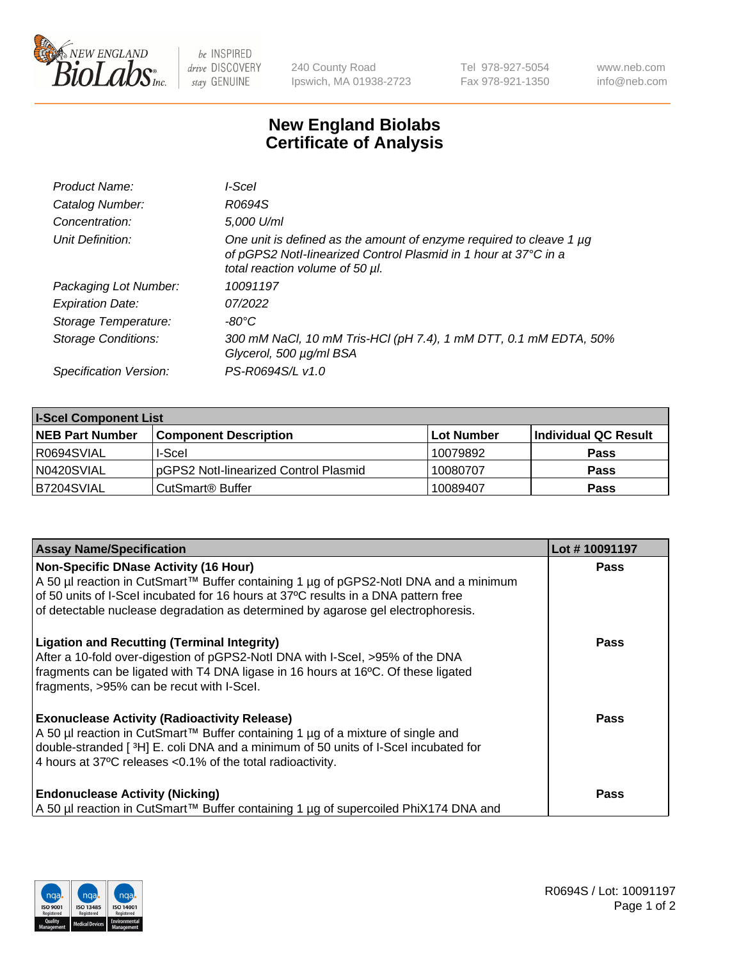

 $be$  INSPIRED drive DISCOVERY stay GENUINE

240 County Road Ipswich, MA 01938-2723 Tel 978-927-5054 Fax 978-921-1350 www.neb.com info@neb.com

## **New England Biolabs Certificate of Analysis**

| Product Name:              | l-Scel                                                                                                                                                                    |
|----------------------------|---------------------------------------------------------------------------------------------------------------------------------------------------------------------------|
| Catalog Number:            | R0694S                                                                                                                                                                    |
| Concentration:             | 5,000 U/ml                                                                                                                                                                |
| Unit Definition:           | One unit is defined as the amount of enzyme required to cleave 1 µg<br>of pGPS2 Notl-linearized Control Plasmid in 1 hour at 37°C in a<br>total reaction volume of 50 µl. |
| Packaging Lot Number:      | 10091197                                                                                                                                                                  |
| <b>Expiration Date:</b>    | 07/2022                                                                                                                                                                   |
| Storage Temperature:       | -80°C                                                                                                                                                                     |
| <b>Storage Conditions:</b> | 300 mM NaCl, 10 mM Tris-HCl (pH 7.4), 1 mM DTT, 0.1 mM EDTA, 50%<br>Glycerol, 500 µg/ml BSA                                                                               |
| Specification Version:     | PS-R0694S/L v1.0                                                                                                                                                          |

| <b>I-Scel Component List</b> |                                        |              |                      |  |
|------------------------------|----------------------------------------|--------------|----------------------|--|
| <b>NEB Part Number</b>       | <b>Component Description</b>           | l Lot Number | Individual QC Result |  |
| IR0694SVIAL                  | I-Scel                                 | 10079892     | <b>Pass</b>          |  |
| N0420SVIAL                   | IpGPS2 Notl-linearized Control Plasmid | 10080707     | <b>Pass</b>          |  |
| B7204SVIAL                   | CutSmart <sup>®</sup> Buffer           | 10089407     | <b>Pass</b>          |  |

| <b>Assay Name/Specification</b>                                                                                                                                                                                                                                                             | Lot #10091197 |
|---------------------------------------------------------------------------------------------------------------------------------------------------------------------------------------------------------------------------------------------------------------------------------------------|---------------|
| <b>Non-Specific DNase Activity (16 Hour)</b><br>A 50 µl reaction in CutSmart™ Buffer containing 1 µg of pGPS2-Notl DNA and a minimum                                                                                                                                                        | <b>Pass</b>   |
| of 50 units of I-Scel incubated for 16 hours at 37°C results in a DNA pattern free<br>of detectable nuclease degradation as determined by agarose gel electrophoresis.                                                                                                                      |               |
| <b>Ligation and Recutting (Terminal Integrity)</b><br>After a 10-fold over-digestion of pGPS2-Notl DNA with I-Scel, >95% of the DNA<br>fragments can be ligated with T4 DNA ligase in 16 hours at 16°C. Of these ligated<br>fragments, >95% can be recut with I-Scel.                       | <b>Pass</b>   |
| <b>Exonuclease Activity (Radioactivity Release)</b><br>A 50 µl reaction in CutSmart™ Buffer containing 1 µg of a mixture of single and<br>double-stranded [3H] E. coli DNA and a minimum of 50 units of I-Scel incubated for<br>4 hours at 37°C releases < 0.1% of the total radioactivity. | <b>Pass</b>   |
| <b>Endonuclease Activity (Nicking)</b><br>  A 50 µl reaction in CutSmart™ Buffer containing 1 µg of supercoiled PhiX174 DNA and                                                                                                                                                             | Pass          |